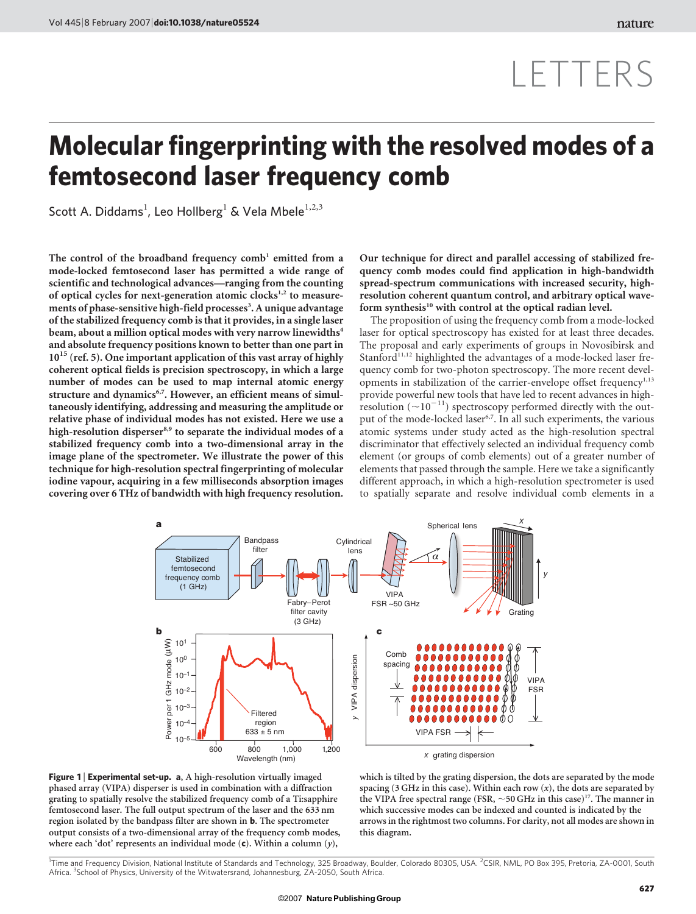## LETTERS

## Molecular fingerprinting with the resolved modes of a femtosecond laser frequency comb

Scott A. Diddams<sup>1</sup>, Leo Hollberg<sup>1</sup> & Vela Mbele<sup>1,2,3</sup>

The control of the broadband frequency  $comb<sup>1</sup>$  emitted from a mode-locked femtosecond laser has permitted a wide range of scientific and technological advances—ranging from the counting of optical cycles for next-generation atomic clocks $1,2$  to measurements of phase-sensitive high-field processes<sup>3</sup>. A unique advantage of the stabilized frequency comb is that it provides, in a single laser beam, about a million optical modes with very narrow linewidths<sup>4</sup> and absolute frequency positions known to better than one part in  $10^{15}$  (ref. 5). One important application of this vast array of highly coherent optical fields is precision spectroscopy, in which a large number of modes can be used to map internal atomic energy structure and dynamics<sup>6,7</sup>. However, an efficient means of simultaneously identifying, addressing and measuring the amplitude or relative phase of individual modes has not existed. Here we use a high-resolution disperser<sup>8,9</sup> to separate the individual modes of a stabilized frequency comb into a two-dimensional array in the image plane of the spectrometer. We illustrate the power of this technique for high-resolution spectral fingerprinting of molecular iodine vapour, acquiring in a few milliseconds absorption images covering over 6 THz of bandwidth with high frequency resolution.

Our technique for direct and parallel accessing of stabilized frequency comb modes could find application in high-bandwidth spread-spectrum communications with increased security, highresolution coherent quantum control, and arbitrary optical waveform synthesis<sup>10</sup> with control at the optical radian level.

The proposition of using the frequency comb from a mode-locked laser for optical spectroscopy has existed for at least three decades. The proposal and early experiments of groups in Novosibirsk and Stanford $11,12$  highlighted the advantages of a mode-locked laser frequency comb for two-photon spectroscopy. The more recent developments in stabilization of the carrier-envelope offset frequency<sup> $1,13$ </sup> provide powerful new tools that have led to recent advances in highresolution  $(\sim 10^{-11})$  spectroscopy performed directly with the output of the mode-locked laser<sup>6,7</sup>. In all such experiments, the various atomic systems under study acted as the high-resolution spectral discriminator that effectively selected an individual frequency comb element (or groups of comb elements) out of a greater number of elements that passed through the sample. Here we take a significantly different approach, in which a high-resolution spectrometer is used to spatially separate and resolve individual comb elements in a



Figure 1 | Experimental set-up. a, A high-resolution virtually imaged phased array (VIPA) disperser is used in combination with a diffraction grating to spatially resolve the stabilized frequency comb of a Ti:sapphire femtosecond laser. The full output spectrum of the laser and the 633 nm region isolated by the bandpass filter are shown in b. The spectrometer output consists of a two-dimensional array of the frequency comb modes, where each 'dot' represents an individual mode  $(c)$ . Within a column  $(y)$ ,

which is tilted by the grating dispersion, the dots are separated by the mode spacing (3 GHz in this case). Within each row  $(x)$ , the dots are separated by the VIPA free spectral range (FSR,  $\sim$  50 GHz in this case)<sup>17</sup>. The manner in which successive modes can be indexed and counted is indicated by the arrows in the rightmost two columns. For clarity, not all modes are shown in this diagram.

<sup>1</sup>Time and Frequency Division, National Institute of Standards and Technology, 325 Broadway, Boulder, Colorado 80305, USA. <sup>2</sup>CSIR, NML, PO Box 395, Pretoria, ZA-0001, South Africa. <sup>3</sup>School of Physics, University of the Witwatersrand, Johannesburg, ZA-2050, South Africa.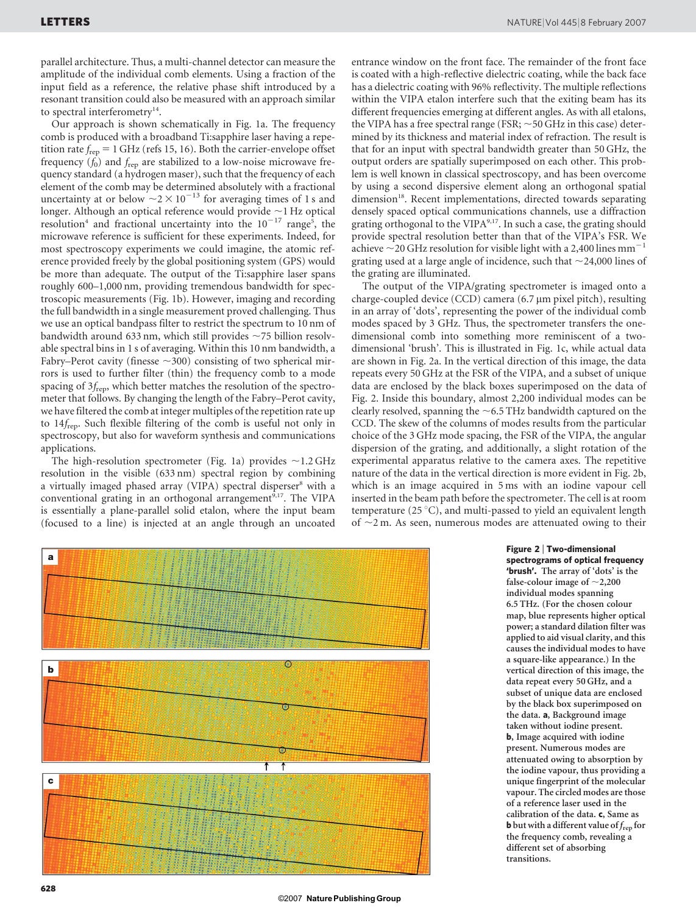parallel architecture. Thus, a multi-channel detector can measure the amplitude of the individual comb elements. Using a fraction of the input field as a reference, the relative phase shift introduced by a resonant transition could also be measured with an approach similar to spectral interferometry<sup>14</sup>.

Our approach is shown schematically in Fig. 1a. The frequency comb is produced with a broadband Ti:sapphire laser having a repetition rate  $f_{\text{rep}} = 1$  GHz (refs 15, 16). Both the carrier-envelope offset frequency  $(\hat{f}_0)$  and  $f_{\text{rep}}$  are stabilized to a low-noise microwave frequency standard (a hydrogen maser), such that the frequency of each element of the comb may be determined absolutely with a fractional uncertainty at or below  $\sim$  2  $\times$  10<sup>-13</sup> for averaging times of 1 s and longer. Although an optical reference would provide  $\sim$ 1 Hz optical resolution<sup>4</sup> and fractional uncertainty into the  $10^{-17}$  range<sup>5</sup>, the microwave reference is sufficient for these experiments. Indeed, for most spectroscopy experiments we could imagine, the atomic reference provided freely by the global positioning system (GPS) would be more than adequate. The output of the Ti:sapphire laser spans roughly 600–1,000 nm, providing tremendous bandwidth for spectroscopic measurements (Fig. 1b). However, imaging and recording the full bandwidth in a single measurement proved challenging. Thus we use an optical bandpass filter to restrict the spectrum to 10 nm of bandwidth around 633 nm, which still provides  $\sim$  75 billion resolvable spectral bins in 1 s of averaging. Within this 10 nm bandwidth, a Fabry–Perot cavity (finesse  $\sim$ 300) consisting of two spherical mirrors is used to further filter (thin) the frequency comb to a mode spacing of  $3f_{\rm rep}$ , which better matches the resolution of the spectrometer that follows. By changing the length of the Fabry–Perot cavity, we have filtered the comb at integer multiples of the repetition rate up to 14frep. Such flexible filtering of the comb is useful not only in spectroscopy, but also for waveform synthesis and communications applications.

The high-resolution spectrometer (Fig. 1a) provides  $\sim$  1.2 GHz resolution in the visible (633 nm) spectral region by combining a virtually imaged phased array (VIPA) spectral disperser<sup>8</sup> with a conventional grating in an orthogonal arrangement<sup>9,17</sup>. The VIPA is essentially a plane-parallel solid etalon, where the input beam (focused to a line) is injected at an angle through an uncoated entrance window on the front face. The remainder of the front face is coated with a high-reflective dielectric coating, while the back face has a dielectric coating with 96% reflectivity. The multiple reflections within the VIPA etalon interfere such that the exiting beam has its different frequencies emerging at different angles. As with all etalons, the VIPA has a free spectral range (FSR;  $\sim$  50 GHz in this case) determined by its thickness and material index of refraction. The result is that for an input with spectral bandwidth greater than 50 GHz, the output orders are spatially superimposed on each other. This problem is well known in classical spectroscopy, and has been overcome by using a second dispersive element along an orthogonal spatial dimension<sup>18</sup>. Recent implementations, directed towards separating densely spaced optical communications channels, use a diffraction grating orthogonal to the VIPA<sup>9,17</sup>. In such a case, the grating should provide spectral resolution better than that of the VIPA's FSR. We achieve  $\sim$  20 GHz resolution for visible light with a 2,400 lines mm<sup>-1</sup> grating used at a large angle of incidence, such that  $\sim$  24,000 lines of the grating are illuminated.

The output of the VIPA/grating spectrometer is imaged onto a charge-coupled device (CCD) camera (6.7 µm pixel pitch), resulting in an array of 'dots', representing the power of the individual comb modes spaced by 3 GHz. Thus, the spectrometer transfers the onedimensional comb into something more reminiscent of a twodimensional 'brush'. This is illustrated in Fig. 1c, while actual data are shown in Fig. 2a. In the vertical direction of this image, the data repeats every 50 GHz at the FSR of the VIPA, and a subset of unique data are enclosed by the black boxes superimposed on the data of Fig. 2. Inside this boundary, almost 2,200 individual modes can be clearly resolved, spanning the  $\sim$  6.5 THz bandwidth captured on the CCD. The skew of the columns of modes results from the particular choice of the 3 GHz mode spacing, the FSR of the VIPA, the angular dispersion of the grating, and additionally, a slight rotation of the experimental apparatus relative to the camera axes. The repetitive nature of the data in the vertical direction is more evident in Fig. 2b, which is an image acquired in 5 ms with an iodine vapour cell inserted in the beam path before the spectrometer. The cell is at room temperature (25 °C), and multi-passed to yield an equivalent length of  $\sim$ 2 m. As seen, numerous modes are attenuated owing to their



Figure 2 <sup>|</sup> Two-dimensional spectrograms of optical frequency 'brush'. The array of 'dots' is the false-colour image of  $\sim$  2,200 individual modes spanning 6.5 THz. (For the chosen colour map, blue represents higher optical power; a standard dilation filter was applied to aid visual clarity, and this causes the individual modes to have a square-like appearance.) In the vertical direction of this image, the data repeat every 50 GHz, and a subset of unique data are enclosed by the black box superimposed on the data. a, Background image taken without iodine present. b, Image acquired with iodine present. Numerous modes are attenuated owing to absorption by the iodine vapour, thus providing a unique fingerprint of the molecular vapour. The circled modes are those of a reference laser used in the calibration of the data. c, Same as **b** but with a different value of  $f_{\text{rep}}$  for the frequency comb, revealing a different set of absorbing transitions.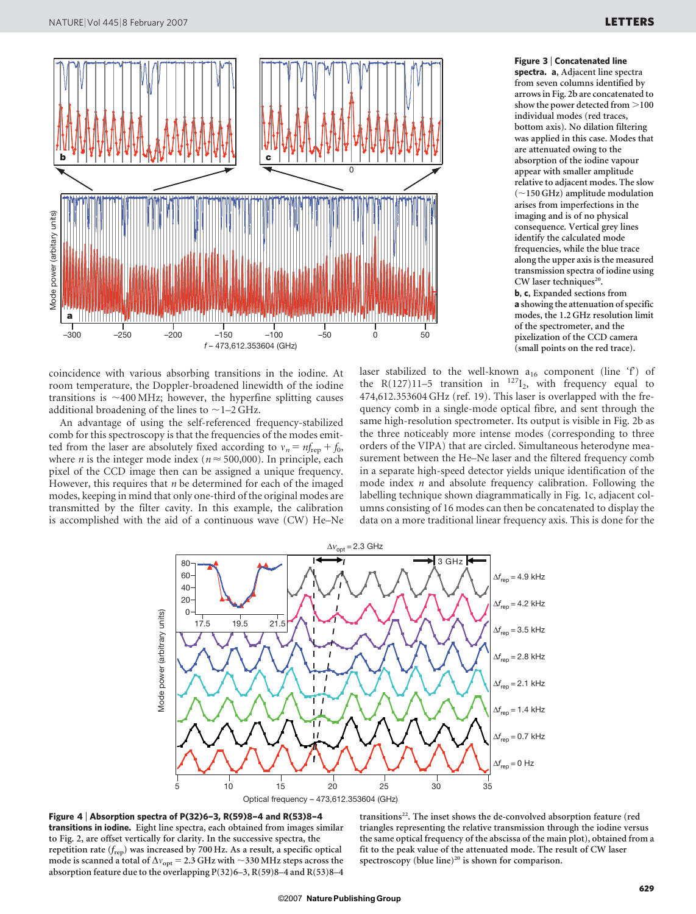

coincidence with various absorbing transitions in the iodine. At room temperature, the Doppler-broadened linewidth of the iodine transitions is  $\sim$ 400 MHz; however, the hyperfine splitting causes additional broadening of the lines to  $\sim$  1–2 GHz.

An advantage of using the self-referenced frequency-stabilized comb for this spectroscopy is that the frequencies of the modes emitted from the laser are absolutely fixed according to  $v_n = nf_{\text{rep}} + f_0$ , where *n* is the integer mode index ( $n \approx 500,000$ ). In principle, each pixel of the CCD image then can be assigned a unique frequency. However, this requires that  $n$  be determined for each of the imaged modes, keeping in mind that only one-third of the original modes are transmitted by the filter cavity. In this example, the calibration is accomplished with the aid of a continuous wave (CW) He–Ne spectra. a, Adjacent line spectra from seven columns identified by arrows in Fig. 2b are concatenated to show the power detected from  $\mathord{>}100$ individual modes (red traces, bottom axis). No dilation filtering was applied in this case. Modes that are attenuated owing to the absorption of the iodine vapour appear with smaller amplitude relative to adjacent modes. The slow  $(\sim150$  GHz) amplitude modulation arises from imperfections in the imaging and is of no physical consequence. Vertical grey lines identify the calculated mode frequencies, while the blue trace along the upper axis is the measured transmission spectra of iodine using CW laser techniques<sup>20</sup>. b, c, Expanded sections from a showing the attenuation of specific modes, the 1.2 GHz resolution limit of the spectrometer, and the pixelization of the CCD camera (small points on the red trace).

Figure 3 <sup>|</sup> Concatenated line

laser stabilized to the well-known  $a_{16}$  component (line 'f') of the R(127)11–5 transition in  $^{127}I_2$ , with frequency equal to 474,612.353604 GHz (ref. 19). This laser is overlapped with the frequency comb in a single-mode optical fibre, and sent through the same high-resolution spectrometer. Its output is visible in Fig. 2b as the three noticeably more intense modes (corresponding to three orders of the VIPA) that are circled. Simultaneous heterodyne measurement between the He–Ne laser and the filtered frequency comb in a separate high-speed detector yields unique identification of the mode index  $n$  and absolute frequency calibration. Following the labelling technique shown diagrammatically in Fig. 1c, adjacent columns consisting of 16 modes can then be concatenated to display the data on a more traditional linear frequency axis. This is done for the



Figure 4 <sup>|</sup> Absorption spectra of P(32)6–3, R(59)8–4 and R(53)8–4 transitions in iodine. Eight line spectra, each obtained from images similar to Fig. 2, are offset vertically for clarity. In the successive spectra, the repetition rate  $(f_{\text{rep}})$  was increased by 700 Hz. As a result, a specific optical mode is scanned a total of  $\Delta v_{\rm opt}$  = 2.3 GHz with  $\sim$ 330 MHz steps across the absorption feature due to the overlapping P(32)6–3, R(59)8–4 and R(53)8–4

transitions<sup>22</sup>. The inset shows the de-convolved absorption feature (red triangles representing the relative transmission through the iodine versus the same optical frequency of the abscissa of the main plot), obtained from a fit to the peak value of the attenuated mode. The result of CW laser spectroscopy (blue line)<sup>20</sup> is shown for comparison.